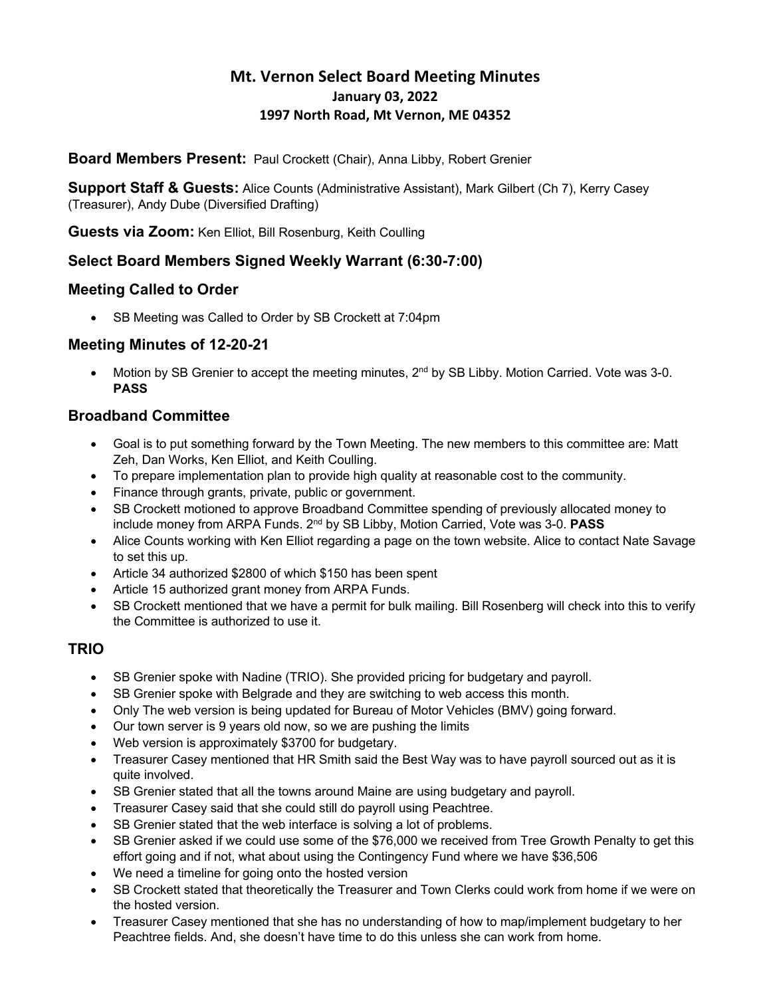# **Mt. Vernon Select Board Meeting Minutes January 03, 2022 1997 North Road, Mt Vernon, ME 04352**

**Board Members Present:** Paul Crockett (Chair), Anna Libby, Robert Grenier

**Support Staff & Guests:** Alice Counts (Administrative Assistant), Mark Gilbert (Ch 7), Kerry Casey (Treasurer), Andy Dube (Diversified Drafting)

**Guests via Zoom:** Ken Elliot, Bill Rosenburg, Keith Coulling

### **Select Board Members Signed Weekly Warrant (6:30-7:00)**

#### **Meeting Called to Order**

• SB Meeting was Called to Order by SB Crockett at 7:04pm

### **Meeting Minutes of 12-20-21**

• Motion by SB Grenier to accept the meeting minutes, 2<sup>nd</sup> by SB Libby. Motion Carried. Vote was 3-0. **PASS**

### **Broadband Committee**

- Goal is to put something forward by the Town Meeting. The new members to this committee are: Matt Zeh, Dan Works, Ken Elliot, and Keith Coulling.
- To prepare implementation plan to provide high quality at reasonable cost to the community.
- Finance through grants, private, public or government.
- SB Crockett motioned to approve Broadband Committee spending of previously allocated money to include money from ARPA Funds. 2nd by SB Libby, Motion Carried, Vote was 3-0. **PASS**
- Alice Counts working with Ken Elliot regarding a page on the town website. Alice to contact Nate Savage to set this up.
- Article 34 authorized \$2800 of which \$150 has been spent
- Article 15 authorized grant money from ARPA Funds.
- SB Crockett mentioned that we have a permit for bulk mailing. Bill Rosenberg will check into this to verify the Committee is authorized to use it.

## **TRIO**

- SB Grenier spoke with Nadine (TRIO). She provided pricing for budgetary and payroll.
- SB Grenier spoke with Belgrade and they are switching to web access this month.
- Only The web version is being updated for Bureau of Motor Vehicles (BMV) going forward.
- Our town server is 9 years old now, so we are pushing the limits
- Web version is approximately \$3700 for budgetary.
- Treasurer Casey mentioned that HR Smith said the Best Way was to have payroll sourced out as it is quite involved.
- SB Grenier stated that all the towns around Maine are using budgetary and payroll.
- Treasurer Casey said that she could still do payroll using Peachtree.
- SB Grenier stated that the web interface is solving a lot of problems.
- SB Grenier asked if we could use some of the \$76,000 we received from Tree Growth Penalty to get this effort going and if not, what about using the Contingency Fund where we have \$36,506
- We need a timeline for going onto the hosted version
- SB Crockett stated that theoretically the Treasurer and Town Clerks could work from home if we were on the hosted version.
- Treasurer Casey mentioned that she has no understanding of how to map/implement budgetary to her Peachtree fields. And, she doesn't have time to do this unless she can work from home.